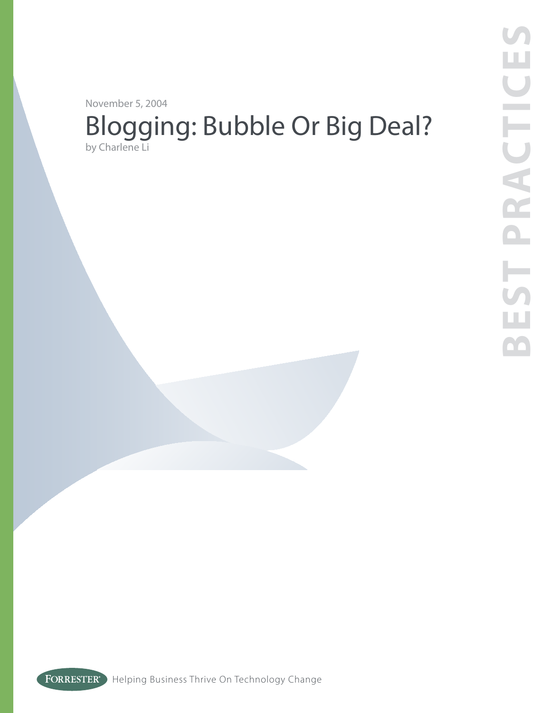November 5, 2004

# Blogging: Bubble Or Big Deal? by Charlene Li

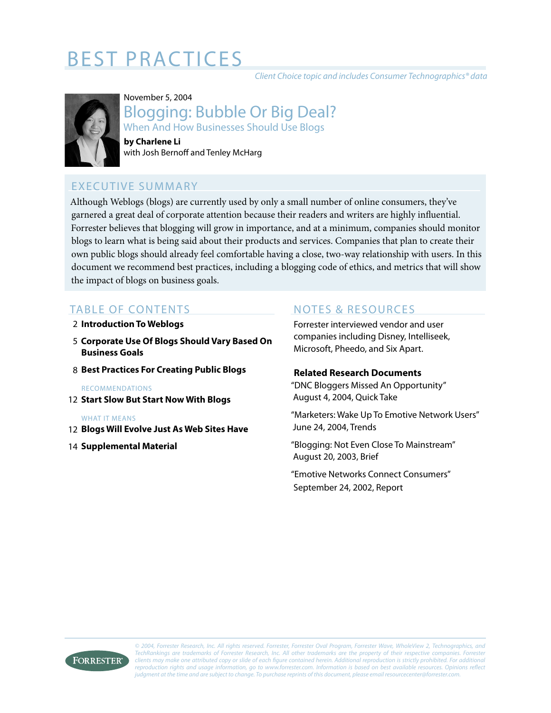# **BEST PRACTICES**

Client Choice topic and includes Consumer Technographics® data



# November 5, 2004 Blogging: Bubble Or Big Deal? When And How Businesses Should Use Blogs

**by Charlene Li** with Josh Bernoff and Tenley McHarg

# EXECUTIVE SUMMARY

Although Weblogs (blogs) are currently used by only a small number of online consumers, they've garnered a great deal of corporate attention because their readers and writers are highly influential. Forrester believes that blogging will grow in importance, and at a minimum, companies should monitor blogs to learn what is being said about their products and services. Companies that plan to create their own public blogs should already feel comfortable having a close, two-way relationship with users. In this document we recommend best practices, including a blogging code of ethics, and metrics that will show the impact of blogs on business goals.

## TABLE OF CONTENTS

- **Introduction To Weblogs** 2
- **Corporate Use Of Blogs Should Vary Based On**  5 **Business Goals**
- **Best Practices For Creating Public Blogs**  8

#### RECOMMENDATIONS

**Start Slow But Start Now With Blogs** 12

#### WHAT IT MEANS

- **Blogs Will Evolve Just As Web Sites Have** 12
- **14 Supplemental Material**

## NOTES & RESOURCES

Forrester interviewed vendor and user companies including Disney, Intelliseek, Microsoft, Pheedo, and Six Apart.

#### **Related Research Documents**

"DNC Bloggers Missed An Opportunity" August 4, 2004, Quick Take

"Marketers: Wake Up To Emotive Network Users" June 24, 2004, Trends

"Blogging: Not Even Close To Mainstream" August 20, 2003, Brief

"Emotive Networks Connect Consumers" September 24, 2002, Report



© 2004, Forrester Research, Inc. All rights reserved. Forrester, Forrester Oval Program, Forrester Wave, WholeView 2, Technographics, and TechRankings are trademarks of Forrester Research, Inc. All other trademarks are the property of their respective companies. Forrester clients may make one attributed copy or slide of each figure contained herein. Additional reproduction is strictly prohibited. For additional reproduction rights and usage information, go to www.forrester.com. Information is based on best available resources. Opinions reflect judgment at the time and are subject to change. To purchase reprints of this document, please email resourcecenter@forrester.com.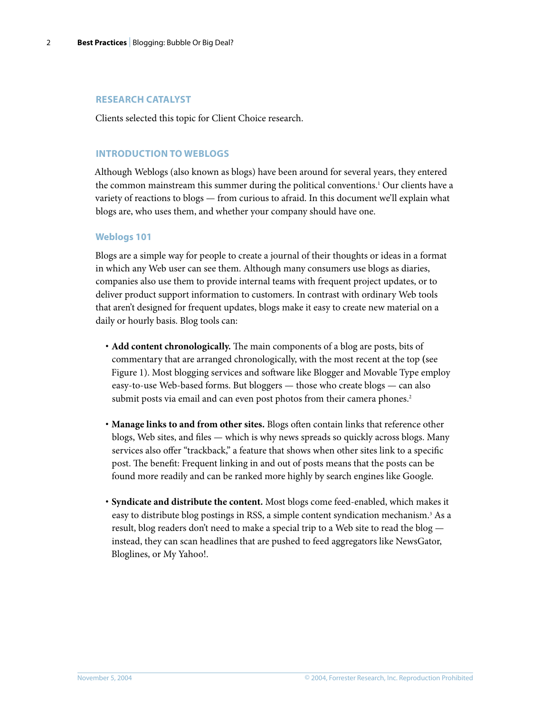#### **RESEARCH CATALYST**

Clients selected this topic for Client Choice research.

#### **INTRODUCTION TO WEBLOGS**

Although Weblogs (also known as blogs) have been around for several years, they entered the common mainstream this summer during the political conventions.<sup>1</sup> Our clients have a variety of reactions to blogs — from curious to afraid. In this document we'll explain what blogs are, who uses them, and whether your company should have one.

#### **Weblogs 101**

Blogs are a simple way for people to create a journal of their thoughts or ideas in a format in which any Web user can see them. Although many consumers use blogs as diaries, companies also use them to provide internal teams with frequent project updates, or to deliver product support information to customers. In contrast with ordinary Web tools that aren't designed for frequent updates, blogs make it easy to create new material on a daily or hourly basis. Blog tools can:

- **· Add content chronologically.** The main components of a blog are posts, bits of commentary that are arranged chronologically, with the most recent at the top **(**see Figure 1). Most blogging services and software like Blogger and Movable Type employ easy-to-use Web-based forms. But bloggers — those who create blogs — can also submit posts via email and can even post photos from their camera phones.<sup>2</sup>
- **· Manage links to and from other sites.** Blogs often contain links that reference other blogs, Web sites, and files — which is why news spreads so quickly across blogs. Many services also offer "trackback," a feature that shows when other sites link to a specific post. The benefit: Frequent linking in and out of posts means that the posts can be found more readily and can be ranked more highly by search engines like Google.
- **· Syndicate and distribute the content.** Most blogs come feed-enabled, which makes it easy to distribute blog postings in RSS, a simple content syndication mechanism.<sup>3</sup> As a result, blog readers don't need to make a special trip to a Web site to read the blog instead, they can scan headlines that are pushed to feed aggregators like NewsGator, Bloglines, or My Yahoo!.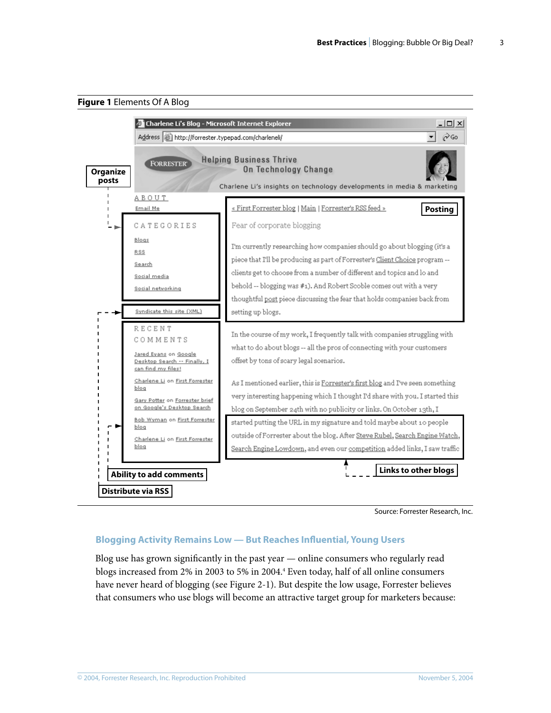

Source: Forrester Research, Inc.

#### **Blogging Activity Remains Low — But Reaches Influential, Young Users**

Blog use has grown significantly in the past year — online consumers who regularly read blogs increased from 2% in 2003 to 5% in 2004.<sup>4</sup> Even today, half of all online consumers have never heard of blogging (see Figure 2-1). But despite the low usage, Forrester believes that consumers who use blogs will become an attractive target group for marketers because: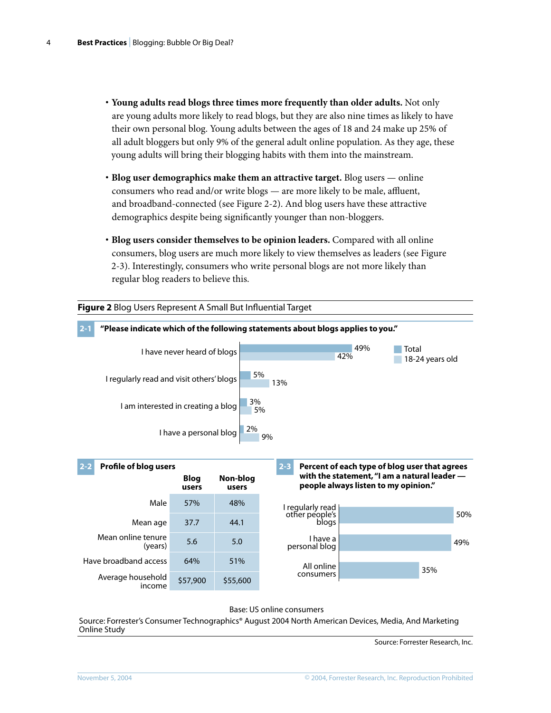- **· Young adults read blogs three times more frequently than older adults.** Not only are young adults more likely to read blogs, but they are also nine times as likely to have their own personal blog. Young adults between the ages of 18 and 24 make up 25% of all adult bloggers but only 9% of the general adult online population. As they age, these young adults will bring their blogging habits with them into the mainstream.
- **· Blog user demographics make them an attractive target.** Blog users online consumers who read and/or write blogs — are more likely to be male, affluent, and broadband-connected (see Figure 2-2). And blog users have these attractive demographics despite being significantly younger than non-bloggers.
- **· Blog users consider themselves to be opinion leaders.** Compared with all online consumers, blog users are much more likely to view themselves as leaders (see Figure 2-3). Interestingly, consumers who write personal blogs are not more likely than regular blog readers to believe this.



Base: US online consumers

Source: Forrester's Consumer Technographics® August 2004 North American Devices, Media, And Marketing Online Study

Source: Forrester Research, Inc.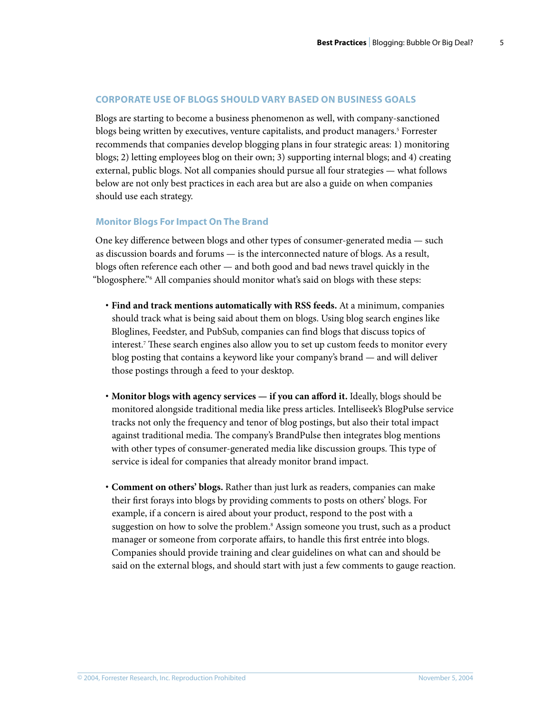#### **CORPORATE USE OF BLOGS SHOULD VARY BASED ON BUSINESS GOALS**

Blogs are starting to become a business phenomenon as well, with company-sanctioned blogs being written by executives, venture capitalists, and product managers.<sup>5</sup> Forrester recommends that companies develop blogging plans in four strategic areas: 1) monitoring blogs; 2) letting employees blog on their own; 3) supporting internal blogs; and 4) creating external, public blogs. Not all companies should pursue all four strategies — what follows below are not only best practices in each area but are also a guide on when companies should use each strategy.

#### **Monitor Blogs For Impact On The Brand**

One key difference between blogs and other types of consumer-generated media — such as discussion boards and forums — is the interconnected nature of blogs. As a result, blogs often reference each other — and both good and bad news travel quickly in the "blogosphere."6 All companies should monitor what's said on blogs with these steps:

- **· Find and track mentions automatically with RSS feeds.** At a minimum, companies should track what is being said about them on blogs. Using blog search engines like Bloglines, Feedster, and PubSub, companies can find blogs that discuss topics of interest.7 These search engines also allow you to set up custom feeds to monitor every blog posting that contains a keyword like your company's brand — and will deliver those postings through a feed to your desktop.
- **· Monitor blogs with agency services if you can afford it.** Ideally, blogs should be monitored alongside traditional media like press articles. Intelliseek's BlogPulse service tracks not only the frequency and tenor of blog postings, but also their total impact against traditional media. The company's BrandPulse then integrates blog mentions with other types of consumer-generated media like discussion groups. This type of service is ideal for companies that already monitor brand impact.
- **· Comment on others' blogs.** Rather than just lurk as readers, companies can make their first forays into blogs by providing comments to posts on others' blogs. For example, if a concern is aired about your product, respond to the post with a suggestion on how to solve the problem.<sup>8</sup> Assign someone you trust, such as a product manager or someone from corporate affairs, to handle this first entrée into blogs. Companies should provide training and clear guidelines on what can and should be said on the external blogs, and should start with just a few comments to gauge reaction.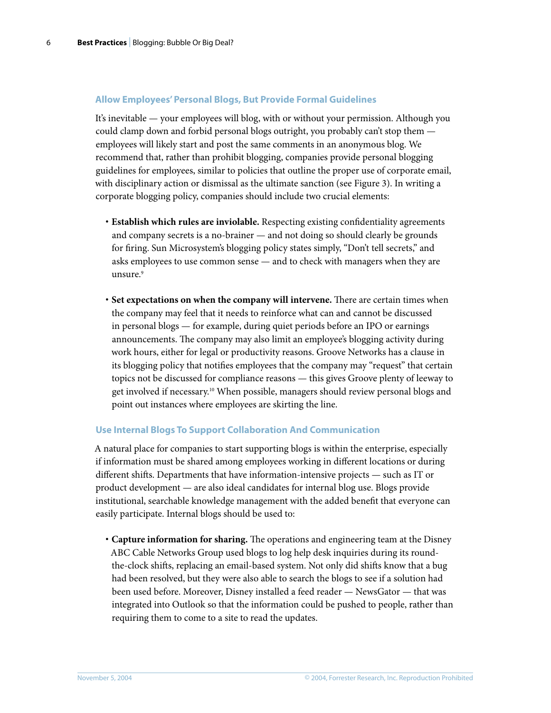#### **Allow Employees' Personal Blogs, But Provide Formal Guidelines**

It's inevitable — your employees will blog, with or without your permission. Although you could clamp down and forbid personal blogs outright, you probably can't stop them employees will likely start and post the same comments in an anonymous blog. We recommend that, rather than prohibit blogging, companies provide personal blogging guidelines for employees, similar to policies that outline the proper use of corporate email, with disciplinary action or dismissal as the ultimate sanction (see Figure 3). In writing a corporate blogging policy, companies should include two crucial elements:

- **· Establish which rules are inviolable.** Respecting existing confidentiality agreements and company secrets is a no-brainer — and not doing so should clearly be grounds for firing. Sun Microsystem's blogging policy states simply, "Don't tell secrets," and asks employees to use common sense — and to check with managers when they are unsure.<sup>9</sup>
- **· Set expectations on when the company will intervene.** There are certain times when the company may feel that it needs to reinforce what can and cannot be discussed in personal blogs — for example, during quiet periods before an IPO or earnings announcements. The company may also limit an employee's blogging activity during work hours, either for legal or productivity reasons. Groove Networks has a clause in its blogging policy that notifies employees that the company may "request" that certain topics not be discussed for compliance reasons — this gives Groove plenty of leeway to get involved if necessary.10 When possible, managers should review personal blogs and point out instances where employees are skirting the line.

#### **Use Internal Blogs To Support Collaboration And Communication**

A natural place for companies to start supporting blogs is within the enterprise, especially if information must be shared among employees working in different locations or during different shifts. Departments that have information-intensive projects — such as IT or product development — are also ideal candidates for internal blog use. Blogs provide institutional, searchable knowledge management with the added benefit that everyone can easily participate. Internal blogs should be used to:

**· Capture information for sharing.** The operations and engineering team at the Disney ABC Cable Networks Group used blogs to log help desk inquiries during its roundthe-clock shifts, replacing an email-based system. Not only did shifts know that a bug had been resolved, but they were also able to search the blogs to see if a solution had been used before. Moreover, Disney installed a feed reader — NewsGator — that was integrated into Outlook so that the information could be pushed to people, rather than requiring them to come to a site to read the updates.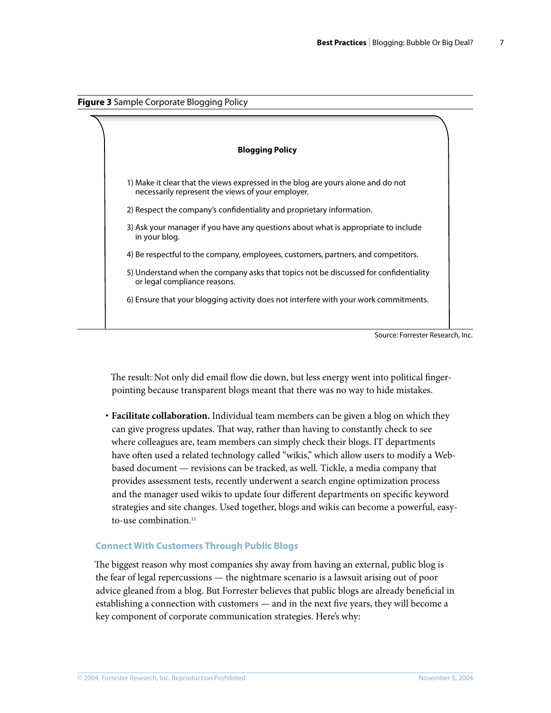



Source: Forrester Research, Inc.

The result: Not only did email flow die down, but less energy went into political fingerpointing because transparent blogs meant that there was no way to hide mistakes.

**· Facilitate collaboration.** Individual team members can be given a blog on which they can give progress updates. That way, rather than having to constantly check to see where colleagues are, team members can simply check their blogs. IT departments have often used a related technology called "wikis," which allow users to modify a Webbased document — revisions can be tracked, as well. Tickle, a media company that provides assessment tests, recently underwent a search engine optimization process and the manager used wikis to update four different departments on specific keyword strategies and site changes. Used together, blogs and wikis can become a powerful, easyto-use combination. $11$ 

#### **Connect With Customers Through Public Blogs**

The biggest reason why most companies shy away from having an external, public blog is the fear of legal repercussions — the nightmare scenario is a lawsuit arising out of poor advice gleaned from a blog. But Forrester believes that public blogs are already beneficial in establishing a connection with customers — and in the next five years, they will become a key component of corporate communication strategies. Here's why: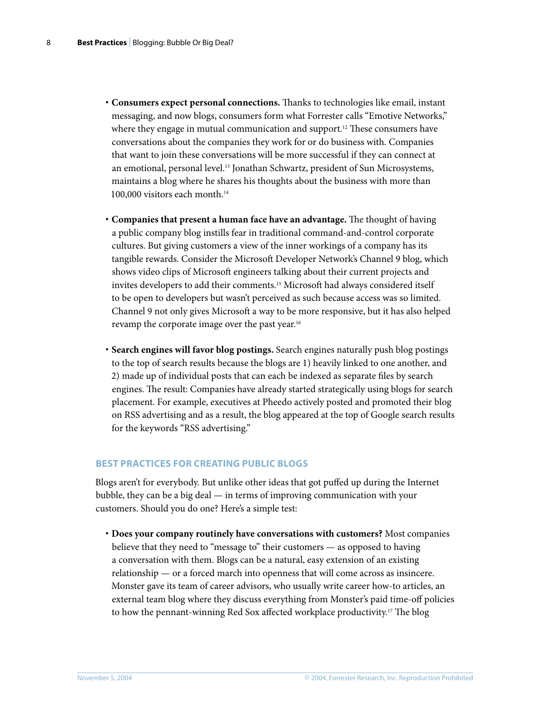- **· Consumers expect personal connections.** Thanks to technologies like email, instant messaging, and now blogs, consumers form what Forrester calls "Emotive Networks," where they engage in mutual communication and support.<sup>12</sup> These consumers have conversations about the companies they work for or do business with. Companies that want to join these conversations will be more successful if they can connect at an emotional, personal level.13 Jonathan Schwartz, president of Sun Microsystems, maintains a blog where he shares his thoughts about the business with more than 100,000 visitors each month.<sup>14</sup>
- **· Companies that present a human face have an advantage.** The thought of having a public company blog instills fear in traditional command-and-control corporate cultures. But giving customers a view of the inner workings of a company has its tangible rewards. Consider the Microsoft Developer Network's Channel 9 blog, which shows video clips of Microsoft engineers talking about their current projects and invites developers to add their comments.15 Microsoft had always considered itself to be open to developers but wasn't perceived as such because access was so limited. Channel 9 not only gives Microsoft a way to be more responsive, but it has also helped revamp the corporate image over the past year.<sup>16</sup>
- **· Search engines will favor blog postings.** Search engines naturally push blog postings to the top of search results because the blogs are 1) heavily linked to one another, and 2) made up of individual posts that can each be indexed as separate files by search engines. The result: Companies have already started strategically using blogs for search placement. For example, executives at Pheedo actively posted and promoted their blog on RSS advertising and as a result, the blog appeared at the top of Google search results for the keywords "RSS advertising."

#### **BEST PRACTICES FOR CREATING PUBLIC BLOGS**

Blogs aren't for everybody. But unlike other ideas that got puffed up during the Internet bubble, they can be a big deal — in terms of improving communication with your customers. Should you do one? Here's a simple test:

**· Does your company routinely have conversations with customers?** Most companies believe that they need to "message to" their customers — as opposed to having a conversation with them. Blogs can be a natural, easy extension of an existing relationship — or a forced march into openness that will come across as insincere. Monster gave its team of career advisors, who usually write career how-to articles, an external team blog where they discuss everything from Monster's paid time-off policies to how the pennant-winning Red Sox affected workplace productivity.17 The blog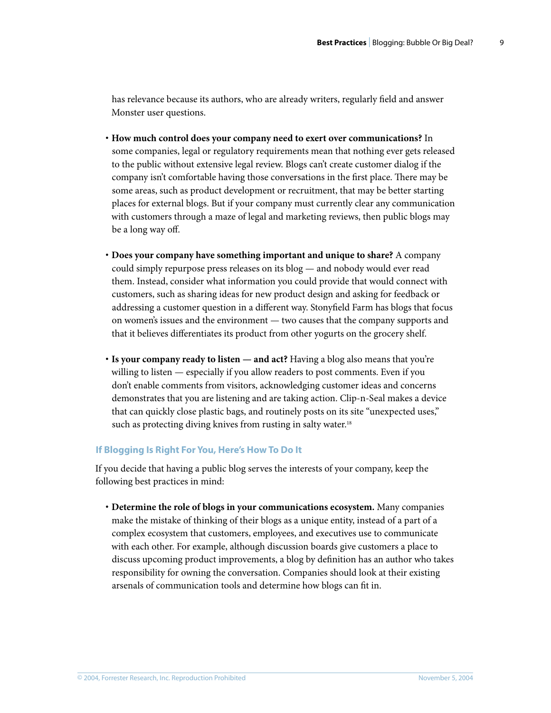has relevance because its authors, who are already writers, regularly field and answer Monster user questions.

- **· How much control does your company need to exert over communications?** In some companies, legal or regulatory requirements mean that nothing ever gets released to the public without extensive legal review. Blogs can't create customer dialog if the company isn't comfortable having those conversations in the first place. There may be some areas, such as product development or recruitment, that may be better starting places for external blogs. But if your company must currently clear any communication with customers through a maze of legal and marketing reviews, then public blogs may be a long way off.
- **· Does your company have something important and unique to share?** A company could simply repurpose press releases on its blog — and nobody would ever read them. Instead, consider what information you could provide that would connect with customers, such as sharing ideas for new product design and asking for feedback or addressing a customer question in a different way. Stonyfield Farm has blogs that focus on women's issues and the environment — two causes that the company supports and that it believes differentiates its product from other yogurts on the grocery shelf.
- **· Is your company ready to listen and act?** Having a blog also means that you're willing to listen — especially if you allow readers to post comments. Even if you don't enable comments from visitors, acknowledging customer ideas and concerns demonstrates that you are listening and are taking action. Clip-n-Seal makes a device that can quickly close plastic bags, and routinely posts on its site "unexpected uses," such as protecting diving knives from rusting in salty water.<sup>18</sup>

#### **If Blogging Is Right For You, Here's How To Do It**

If you decide that having a public blog serves the interests of your company, keep the following best practices in mind:

**· Determine the role of blogs in your communications ecosystem.** Many companies make the mistake of thinking of their blogs as a unique entity, instead of a part of a complex ecosystem that customers, employees, and executives use to communicate with each other. For example, although discussion boards give customers a place to discuss upcoming product improvements, a blog by definition has an author who takes responsibility for owning the conversation. Companies should look at their existing arsenals of communication tools and determine how blogs can fit in.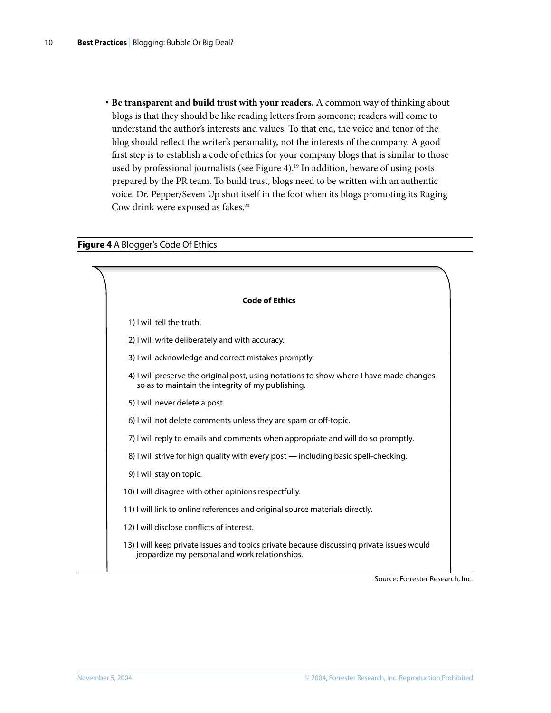**· Be transparent and build trust with your readers.** A common way of thinking about blogs is that they should be like reading letters from someone; readers will come to understand the author's interests and values. To that end, the voice and tenor of the blog should reflect the writer's personality, not the interests of the company. A good first step is to establish a code of ethics for your company blogs that is similar to those used by professional journalists (see Figure 4).<sup>19</sup> In addition, beware of using posts prepared by the PR team. To build trust, blogs need to be written with an authentic voice. Dr. Pepper/Seven Up shot itself in the foot when its blogs promoting its Raging Cow drink were exposed as fakes.<sup>20</sup>

#### **Figure 4** A Blogger's Code Of Ethics

| <b>Code of Ethics</b>                                                                                                                        |  |  |
|----------------------------------------------------------------------------------------------------------------------------------------------|--|--|
| 1) I will tell the truth.                                                                                                                    |  |  |
| 2) I will write deliberately and with accuracy.                                                                                              |  |  |
| 3) I will acknowledge and correct mistakes promptly.                                                                                         |  |  |
| 4) I will preserve the original post, using notations to show where I have made changes<br>so as to maintain the integrity of my publishing. |  |  |
| 5) I will never delete a post.                                                                                                               |  |  |
| 6) I will not delete comments unless they are spam or off-topic.                                                                             |  |  |
| 7) I will reply to emails and comments when appropriate and will do so promptly.                                                             |  |  |
| 8) I will strive for high quality with every post — including basic spell-checking.                                                          |  |  |
| 9) I will stay on topic.                                                                                                                     |  |  |
| 10) I will disagree with other opinions respectfully.                                                                                        |  |  |
| 11) I will link to online references and original source materials directly.                                                                 |  |  |
| 12) I will disclose conflicts of interest.                                                                                                   |  |  |
| 13) I will keep private issues and topics private because discussing private issues would<br>jeopardize my personal and work relationships.  |  |  |
|                                                                                                                                              |  |  |

Source: Forrester Research, Inc.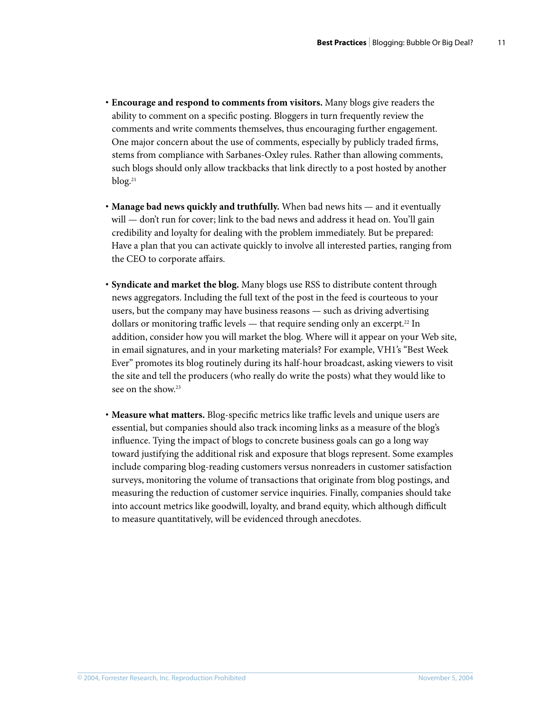- **· Encourage and respond to comments from visitors.** Many blogs give readers the ability to comment on a specific posting. Bloggers in turn frequently review the comments and write comments themselves, thus encouraging further engagement. One major concern about the use of comments, especially by publicly traded firms, stems from compliance with Sarbanes-Oxley rules. Rather than allowing comments, such blogs should only allow trackbacks that link directly to a post hosted by another blog.<sup>21</sup>
- **· Manage bad news quickly and truthfully.** When bad news hits and it eventually will — don't run for cover; link to the bad news and address it head on. You'll gain credibility and loyalty for dealing with the problem immediately. But be prepared: Have a plan that you can activate quickly to involve all interested parties, ranging from the CEO to corporate affairs.
- **· Syndicate and market the blog.** Many blogs use RSS to distribute content through news aggregators. Including the full text of the post in the feed is courteous to your users, but the company may have business reasons — such as driving advertising dollars or monitoring traffic levels  $-$  that require sending only an excerpt.<sup>22</sup> In addition, consider how you will market the blog. Where will it appear on your Web site, in email signatures, and in your marketing materials? For example, VH1's "Best Week Ever" promotes its blog routinely during its half-hour broadcast, asking viewers to visit the site and tell the producers (who really do write the posts) what they would like to see on the show.<sup>23</sup>
- **· Measure what matters.** Blog-specific metrics like traffic levels and unique users are essential, but companies should also track incoming links as a measure of the blog's influence. Tying the impact of blogs to concrete business goals can go a long way toward justifying the additional risk and exposure that blogs represent. Some examples include comparing blog-reading customers versus nonreaders in customer satisfaction surveys, monitoring the volume of transactions that originate from blog postings, and measuring the reduction of customer service inquiries. Finally, companies should take into account metrics like goodwill, loyalty, and brand equity, which although difficult to measure quantitatively, will be evidenced through anecdotes.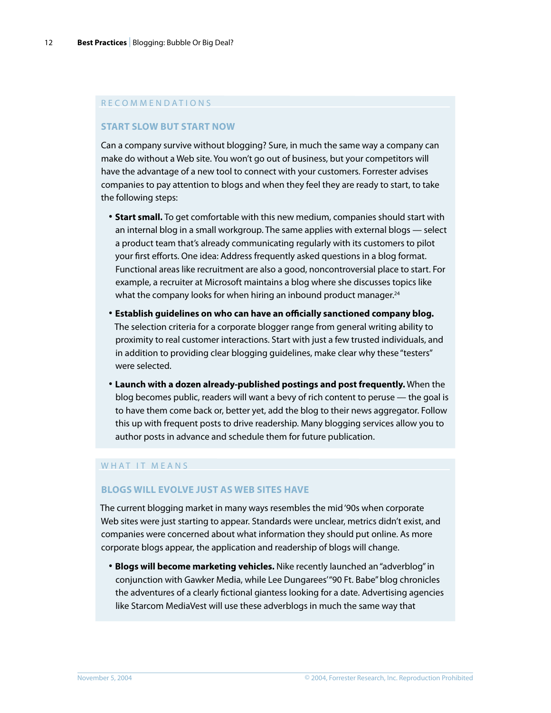#### R E C O M M E N D A T I O N S

#### **START SLOW BUT START NOW**

Can a company survive without blogging? Sure, in much the same way a company can make do without a Web site. You won't go out of business, but your competitors will have the advantage of a new tool to connect with your customers. Forrester advises companies to pay attention to blogs and when they feel they are ready to start, to take the following steps:

- **· Start small.** To get comfortable with this new medium, companies should start with an internal blog in a small workgroup. The same applies with external blogs — select a product team that's already communicating regularly with its customers to pilot your first efforts. One idea: Address frequently asked questions in a blog format. Functional areas like recruitment are also a good, noncontroversial place to start. For example, a recruiter at Microsoft maintains a blog where she discusses topics like what the company looks for when hiring an inbound product manager.<sup>24</sup>
- **· Establish guidelines on who can have an officially sanctioned company blog.**  The selection criteria for a corporate blogger range from general writing ability to proximity to real customer interactions. Start with just a few trusted individuals, and in addition to providing clear blogging guidelines, make clear why these "testers" were selected.
- **· Launch with a dozen already-published postings and post frequently.** When the blog becomes public, readers will want a bevy of rich content to peruse — the goal is to have them come back or, better yet, add the blog to their news aggregator. Follow this up with frequent posts to drive readership. Many blogging services allow you to author posts in advance and schedule them for future publication.

#### WHAT IT MEANS

#### **BLOGS WILL EVOLVE JUST AS WEB SITES HAVE**

The current blogging market in many ways resembles the mid '90s when corporate Web sites were just starting to appear. Standards were unclear, metrics didn't exist, and companies were concerned about what information they should put online. As more corporate blogs appear, the application and readership of blogs will change.

**· Blogs will become marketing vehicles.** Nike recently launched an "adverblog" in conjunction with Gawker Media, while Lee Dungarees' "90 Ft. Babe" blog chronicles the adventures of a clearly fictional giantess looking for a date. Advertising agencies like Starcom MediaVest will use these adverblogs in much the same way that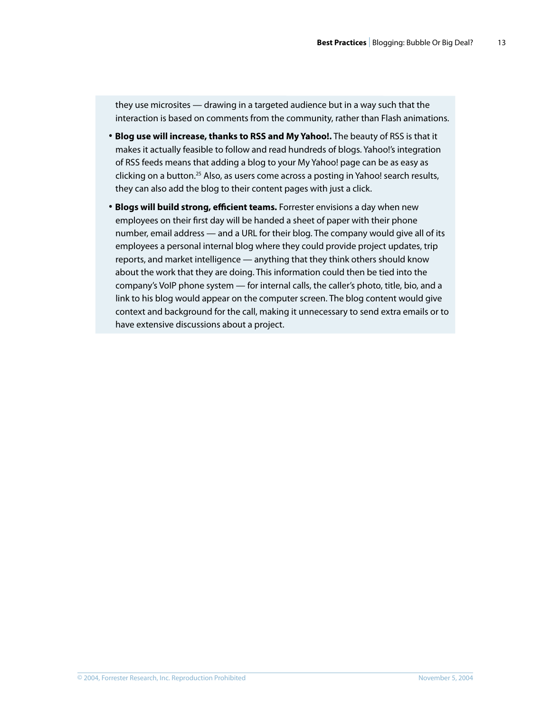they use microsites — drawing in a targeted audience but in a way such that the interaction is based on comments from the community, rather than Flash animations.

- **· Blog use will increase, thanks to RSS and My Yahoo!.** The beauty of RSS is that it makes it actually feasible to follow and read hundreds of blogs. Yahoo!'s integration of RSS feeds means that adding a blog to your My Yahoo! page can be as easy as clicking on a button.<sup>25</sup> Also, as users come across a posting in Yahoo! search results, they can also add the blog to their content pages with just a click.
- **· Blogs will build strong, efficient teams.** Forrester envisions a day when new employees on their first day will be handed a sheet of paper with their phone number, email address — and a URL for their blog. The company would give all of its employees a personal internal blog where they could provide project updates, trip reports, and market intelligence — anything that they think others should know about the work that they are doing. This information could then be tied into the company's VoIP phone system — for internal calls, the caller's photo, title, bio, and a link to his blog would appear on the computer screen. The blog content would give context and background for the call, making it unnecessary to send extra emails or to have extensive discussions about a project.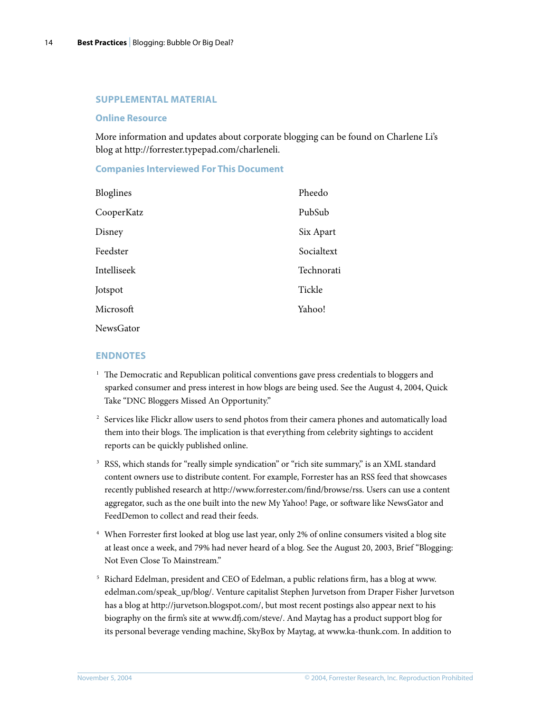#### **SUPPLEMENTAL MATERIAL**

#### **Online Resource**

More information and updates about corporate blogging can be found on Charlene Li's blog at http://forrester.typepad.com/charleneli.

#### **Companies Interviewed For This Document**

| Bloglines   | Pheedo     |
|-------------|------------|
| CooperKatz  | PubSub     |
| Disney      | Six Apart  |
| Feedster    | Socialtext |
| Intelliseek | Technorati |
| Jotspot     | Tickle     |
| Microsoft   | Yahoo!     |
| NewsGator   |            |

#### **ENDNOTES**

- <sup>1</sup> The Democratic and Republican political conventions gave press credentials to bloggers and sparked consumer and press interest in how blogs are being used. See the August 4, 2004, Quick Take "DNC Bloggers Missed An Opportunity."
- <sup>2</sup> Services like Flickr allow users to send photos from their camera phones and automatically load them into their blogs. The implication is that everything from celebrity sightings to accident reports can be quickly published online.
- 3 RSS, which stands for "really simple syndication" or "rich site summary," is an XML standard content owners use to distribute content. For example, Forrester has an RSS feed that showcases recently published research at http://www.forrester.com/find/browse/rss. Users can use a content aggregator, such as the one built into the new My Yahoo! Page, or software like NewsGator and FeedDemon to collect and read their feeds.
- 4 When Forrester first looked at blog use last year, only 2% of online consumers visited a blog site at least once a week, and 79% had never heard of a blog. See the August 20, 2003, Brief "Blogging: Not Even Close To Mainstream."
- 5 Richard Edelman, president and CEO of Edelman, a public relations firm, has a blog at www. edelman.com/speak\_up/blog/. Venture capitalist Stephen Jurvetson from Draper Fisher Jurvetson has a blog at http://jurvetson.blogspot.com/, but most recent postings also appear next to his biography on the firm's site at www.dfj.com/steve/. And Maytag has a product support blog for its personal beverage vending machine, SkyBox by Maytag, at www.ka-thunk.com. In addition to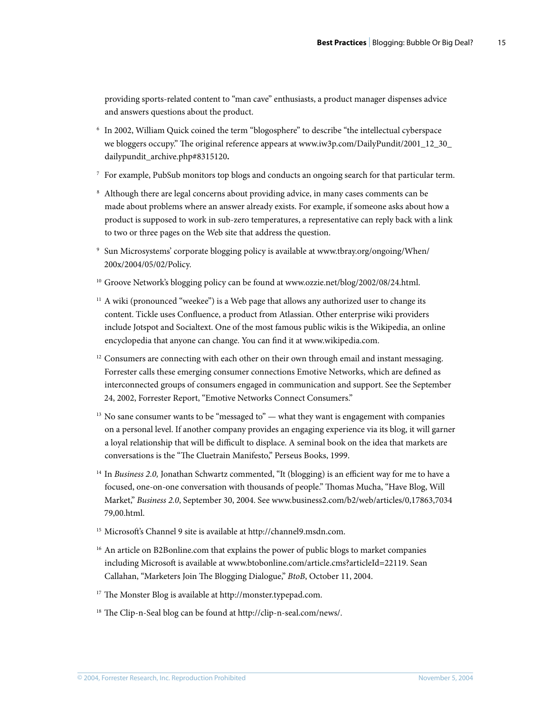providing sports-related content to "man cave" enthusiasts, a product manager dispenses advice and answers questions about the product.

- 6 In 2002, William Quick coined the term "blogosphere" to describe "the intellectual cyberspace we bloggers occupy." The original reference appears at www.iw3p.com/DailyPundit/2001\_12\_30\_ dailypundit\_archive.php#8315120**.**
- 7 For example, PubSub monitors top blogs and conducts an ongoing search for that particular term.
- 8 Although there are legal concerns about providing advice, in many cases comments can be made about problems where an answer already exists. For example, if someone asks about how a product is supposed to work in sub-zero temperatures, a representative can reply back with a link to two or three pages on the Web site that address the question.
- 9 Sun Microsystems' corporate blogging policy is available at www.tbray.org/ongoing/When/ 200x/2004/05/02/Policy.
- <sup>10</sup> Groove Network's blogging policy can be found at www.ozzie.net/blog/2002/08/24.html.
- $11$  A wiki (pronounced "weekee") is a Web page that allows any authorized user to change its content. Tickle uses Confluence, a product from Atlassian. Other enterprise wiki providers include Jotspot and Socialtext. One of the most famous public wikis is the Wikipedia, an online encyclopedia that anyone can change. You can find it at www.wikipedia.com.
- $12$  Consumers are connecting with each other on their own through email and instant messaging. Forrester calls these emerging consumer connections Emotive Networks, which are defined as interconnected groups of consumers engaged in communication and support. See the September 24, 2002, Forrester Report, "Emotive Networks Connect Consumers."
- $13$  No sane consumer wants to be "messaged to" what they want is engagement with companies on a personal level. If another company provides an engaging experience via its blog, it will garner a loyal relationship that will be difficult to displace. A seminal book on the idea that markets are conversations is the "The Cluetrain Manifesto," Perseus Books, 1999.
- 14 In *Business 2.0,* Jonathan Schwartz commented, "It (blogging) is an efficient way for me to have a focused, one-on-one conversation with thousands of people." Thomas Mucha, "Have Blog, Will Market," *Business 2.0*, September 30, 2004. See www.business2.com/b2/web/articles/0,17863,7034 79,00.html.
- <sup>15</sup> Microsoft's Channel 9 site is available at http://channel9.msdn.com.
- <sup>16</sup> An article on B2Bonline.com that explains the power of public blogs to market companies including Microsoft is available at www.btobonline.com/article.cms?articleId=22119. Sean Callahan, "Marketers Join The Blogging Dialogue," *BtoB*, October 11, 2004.
- <sup>17</sup> The Monster Blog is available at http://monster.typepad.com.
- <sup>18</sup> The Clip-n-Seal blog can be found at http://clip-n-seal.com/news/.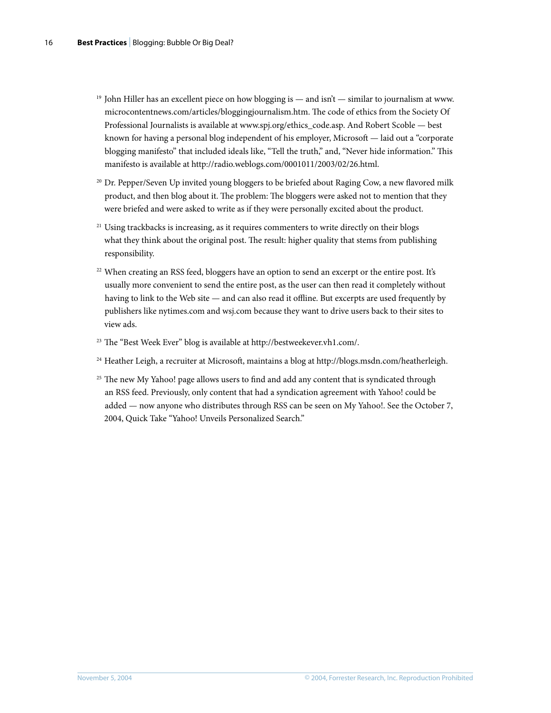- <sup>19</sup> John Hiller has an excellent piece on how blogging is and isn't similar to journalism at www. microcontentnews.com/articles/bloggingjournalism.htm. The code of ethics from the Society Of Professional Journalists is available at www.spj.org/ethics\_code.asp. And Robert Scoble — best known for having a personal blog independent of his employer, Microsoft — laid out a "corporate blogging manifesto" that included ideals like, "Tell the truth," and, "Never hide information." This manifesto is available at http://radio.weblogs.com/0001011/2003/02/26.html.
- <sup>20</sup> Dr. Pepper/Seven Up invited young bloggers to be briefed about Raging Cow, a new flavored milk product, and then blog about it. The problem: The bloggers were asked not to mention that they were briefed and were asked to write as if they were personally excited about the product.
- <sup>21</sup> Using trackbacks is increasing, as it requires commenters to write directly on their blogs what they think about the original post. The result: higher quality that stems from publishing responsibility.
- <sup>22</sup> When creating an RSS feed, bloggers have an option to send an excerpt or the entire post. It's usually more convenient to send the entire post, as the user can then read it completely without having to link to the Web site — and can also read it offline. But excerpts are used frequently by publishers like nytimes.com and wsj.com because they want to drive users back to their sites to view ads.
- <sup>23</sup> The "Best Week Ever" blog is available at http://bestweekever.vh1.com/.
- 24 Heather Leigh, a recruiter at Microsoft, maintains a blog at http://blogs.msdn.com/heatherleigh.
- <sup>25</sup> The new My Yahoo! page allows users to find and add any content that is syndicated through an RSS feed. Previously, only content that had a syndication agreement with Yahoo! could be added — now anyone who distributes through RSS can be seen on My Yahoo!. See the October 7, 2004, Quick Take "Yahoo! Unveils Personalized Search."